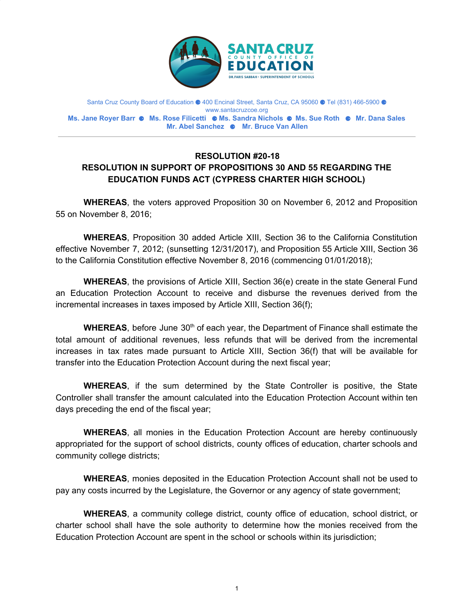

Santa Cruz County Board of Education ⚈ 400 Encinal Street, Santa Cruz, CA 95060 ⚈ Tel (831) 466-5900 ⚈ www.santacruzcoe.org **Ms. Jane Royer Barr** ⚈ **Ms. Rose Filicetti** ⚈ **Ms. Sandra Nichols** ⚈ **Ms. Sue Roth** ⚈ **Mr. Dana Sales Mr. Abel Sanchez** ⚈ **Mr. Bruce Van Allen**

## **RESOLUTION #20-18 RESOLUTION IN SUPPORT OF PROPOSITIONS 30 AND 55 REGARDING THE EDUCATION FUNDS ACT (CYPRESS CHARTER HIGH SCHOOL)**

**WHEREAS**, the voters approved Proposition 30 on November 6, 2012 and Proposition 55 on November 8, 2016;

**WHEREAS**, Proposition 30 added Article XIII, Section 36 to the California Constitution effective November 7, 2012; (sunsetting 12/31/2017), and Proposition 55 Article XIII, Section 36 to the California Constitution effective November 8, 2016 (commencing 01/01/2018);

**WHEREAS**, the provisions of Article XIII, Section 36(e) create in the state General Fund an Education Protection Account to receive and disburse the revenues derived from the incremental increases in taxes imposed by Article XIII, Section 36(f);

WHEREAS, before June 30<sup>th</sup> of each year, the Department of Finance shall estimate the total amount of additional revenues, less refunds that will be derived from the incremental increases in tax rates made pursuant to Article XIII, Section 36(f) that will be available for transfer into the Education Protection Account during the next fiscal year;

**WHEREAS**, if the sum determined by the State Controller is positive, the State Controller shall transfer the amount calculated into the Education Protection Account within ten days preceding the end of the fiscal year;

**WHEREAS**, all monies in the Education Protection Account are hereby continuously appropriated for the support of school districts, county offices of education, charter schools and community college districts;

**WHEREAS**, monies deposited in the Education Protection Account shall not be used to pay any costs incurred by the Legislature, the Governor or any agency of state government;

**WHEREAS**, a community college district, county office of education, school district, or charter school shall have the sole authority to determine how the monies received from the Education Protection Account are spent in the school or schools within its jurisdiction;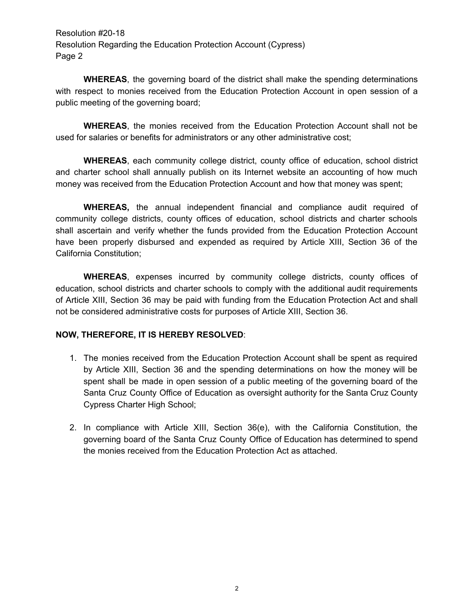Resolution #20-18 Resolution Regarding the Education Protection Account (Cypress) Page 2

**WHEREAS**, the governing board of the district shall make the spending determinations with respect to monies received from the Education Protection Account in open session of a public meeting of the governing board;

**WHEREAS**, the monies received from the Education Protection Account shall not be used for salaries or benefits for administrators or any other administrative cost;

**WHEREAS**, each community college district, county office of education, school district and charter school shall annually publish on its Internet website an accounting of how much money was received from the Education Protection Account and how that money was spent;

**WHEREAS,** the annual independent financial and compliance audit required of community college districts, county offices of education, school districts and charter schools shall ascertain and verify whether the funds provided from the Education Protection Account have been properly disbursed and expended as required by Article XIII, Section 36 of the California Constitution;

**WHEREAS**, expenses incurred by community college districts, county offices of education, school districts and charter schools to comply with the additional audit requirements of Article XIII, Section 36 may be paid with funding from the Education Protection Act and shall not be considered administrative costs for purposes of Article XIII, Section 36.

## **NOW, THEREFORE, IT IS HEREBY RESOLVED**:

- 1. The monies received from the Education Protection Account shall be spent as required by Article XIII, Section 36 and the spending determinations on how the money will be spent shall be made in open session of a public meeting of the governing board of the Santa Cruz County Office of Education as oversight authority for the Santa Cruz County Cypress Charter High School;
- 2. In compliance with Article XIII, Section 36(e), with the California Constitution, the governing board of the Santa Cruz County Office of Education has determined to spend the monies received from the Education Protection Act as attached.